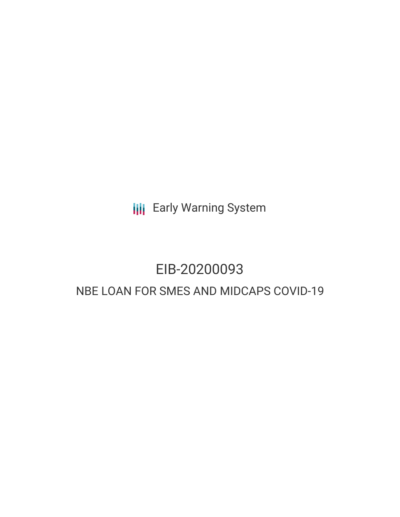**III** Early Warning System

# EIB-20200093

## NBE LOAN FOR SMES AND MIDCAPS COVID-19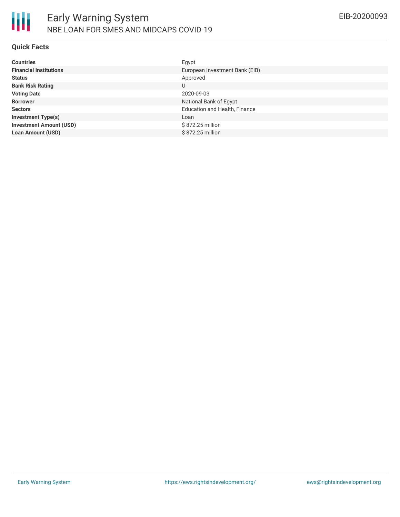

#### **Quick Facts**

| <b>Countries</b>               | Egypt                                |
|--------------------------------|--------------------------------------|
| <b>Financial Institutions</b>  | European Investment Bank (EIB)       |
| <b>Status</b>                  | Approved                             |
| <b>Bank Risk Rating</b>        | U                                    |
| <b>Voting Date</b>             | 2020-09-03                           |
| <b>Borrower</b>                | National Bank of Egypt               |
| <b>Sectors</b>                 | <b>Education and Health, Finance</b> |
| <b>Investment Type(s)</b>      | Loan                                 |
| <b>Investment Amount (USD)</b> | \$872.25 million                     |
| <b>Loan Amount (USD)</b>       | \$872.25 million                     |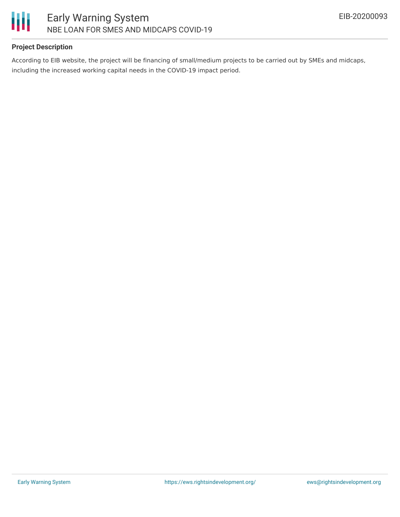

### **Project Description**

According to EIB website, the project will be financing of small/medium projects to be carried out by SMEs and midcaps, including the increased working capital needs in the COVID-19 impact period.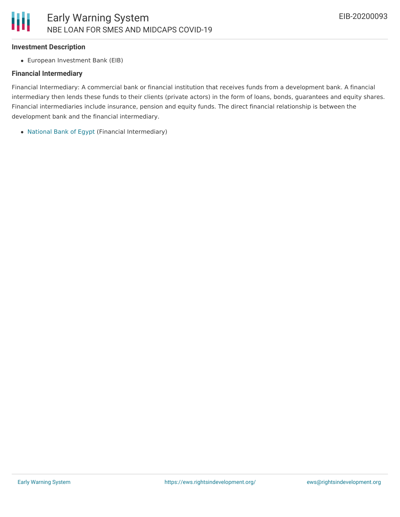#### **Investment Description**

European Investment Bank (EIB)

### **Financial Intermediary**

Financial Intermediary: A commercial bank or financial institution that receives funds from a development bank. A financial intermediary then lends these funds to their clients (private actors) in the form of loans, bonds, guarantees and equity shares. Financial intermediaries include insurance, pension and equity funds. The direct financial relationship is between the development bank and the financial intermediary.

[National](file:///actor/1172/) Bank of Egypt (Financial Intermediary)